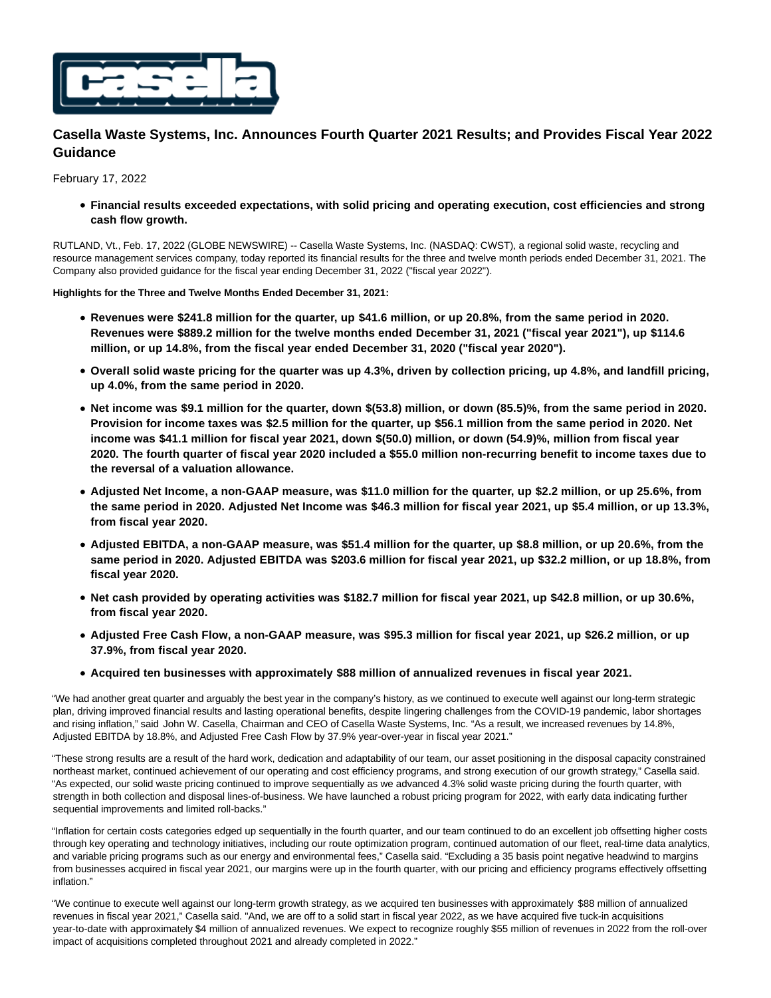

# **Casella Waste Systems, Inc. Announces Fourth Quarter 2021 Results; and Provides Fiscal Year 2022 Guidance**

February 17, 2022

**Financial results exceeded expectations, with solid pricing and operating execution, cost efficiencies and strong cash flow growth.**

RUTLAND, Vt., Feb. 17, 2022 (GLOBE NEWSWIRE) -- Casella Waste Systems, Inc. (NASDAQ: CWST), a regional solid waste, recycling and resource management services company, today reported its financial results for the three and twelve month periods ended December 31, 2021. The Company also provided guidance for the fiscal year ending December 31, 2022 ("fiscal year 2022").

**Highlights for the Three and Twelve Months Ended December 31, 2021:**

- **Revenues were \$241.8 million for the quarter, up \$41.6 million, or up 20.8%, from the same period in 2020. Revenues were \$889.2 million for the twelve months ended December 31, 2021 ("fiscal year 2021"), up \$114.6 million, or up 14.8%, from the fiscal year ended December 31, 2020 ("fiscal year 2020").**
- **Overall solid waste pricing for the quarter was up 4.3%, driven by collection pricing, up 4.8%, and landfill pricing, up 4.0%, from the same period in 2020.**
- **Net income was \$9.1 million for the quarter, down \$(53.8) million, or down (85.5)%, from the same period in 2020. Provision for income taxes was \$2.5 million for the quarter, up \$56.1 million from the same period in 2020. Net income was \$41.1 million for fiscal year 2021, down \$(50.0) million, or down (54.9)%, million from fiscal year 2020. The fourth quarter of fiscal year 2020 included a \$55.0 million non-recurring benefit to income taxes due to the reversal of a valuation allowance.**
- **Adjusted Net Income, a non-GAAP measure, was \$11.0 million for the quarter, up \$2.2 million, or up 25.6%, from the same period in 2020. Adjusted Net Income was \$46.3 million for fiscal year 2021, up \$5.4 million, or up 13.3%, from fiscal year 2020.**
- **Adjusted EBITDA, a non-GAAP measure, was \$51.4 million for the quarter, up \$8.8 million, or up 20.6%, from the same period in 2020. Adjusted EBITDA was \$203.6 million for fiscal year 2021, up \$32.2 million, or up 18.8%, from fiscal year 2020.**
- **Net cash provided by operating activities was \$182.7 million for fiscal year 2021, up \$42.8 million, or up 30.6%, from fiscal year 2020.**
- **Adjusted Free Cash Flow, a non-GAAP measure, was \$95.3 million for fiscal year 2021, up \$26.2 million, or up 37.9%, from fiscal year 2020.**
- **Acquired ten businesses with approximately \$88 million of annualized revenues in fiscal year 2021.**

"We had another great quarter and arguably the best year in the company's history, as we continued to execute well against our long-term strategic plan, driving improved financial results and lasting operational benefits, despite lingering challenges from the COVID-19 pandemic, labor shortages and rising inflation," said John W. Casella, Chairman and CEO of Casella Waste Systems, Inc. "As a result, we increased revenues by 14.8%, Adjusted EBITDA by 18.8%, and Adjusted Free Cash Flow by 37.9% year-over-year in fiscal year 2021."

"These strong results are a result of the hard work, dedication and adaptability of our team, our asset positioning in the disposal capacity constrained northeast market, continued achievement of our operating and cost efficiency programs, and strong execution of our growth strategy," Casella said. "As expected, our solid waste pricing continued to improve sequentially as we advanced 4.3% solid waste pricing during the fourth quarter, with strength in both collection and disposal lines-of-business. We have launched a robust pricing program for 2022, with early data indicating further sequential improvements and limited roll-backs."

"Inflation for certain costs categories edged up sequentially in the fourth quarter, and our team continued to do an excellent job offsetting higher costs through key operating and technology initiatives, including our route optimization program, continued automation of our fleet, real-time data analytics, and variable pricing programs such as our energy and environmental fees," Casella said. "Excluding a 35 basis point negative headwind to margins from businesses acquired in fiscal year 2021, our margins were up in the fourth quarter, with our pricing and efficiency programs effectively offsetting inflation."

"We continue to execute well against our long-term growth strategy, as we acquired ten businesses with approximately \$88 million of annualized revenues in fiscal year 2021," Casella said. "And, we are off to a solid start in fiscal year 2022, as we have acquired five tuck-in acquisitions year-to-date with approximately \$4 million of annualized revenues. We expect to recognize roughly \$55 million of revenues in 2022 from the roll-over impact of acquisitions completed throughout 2021 and already completed in 2022."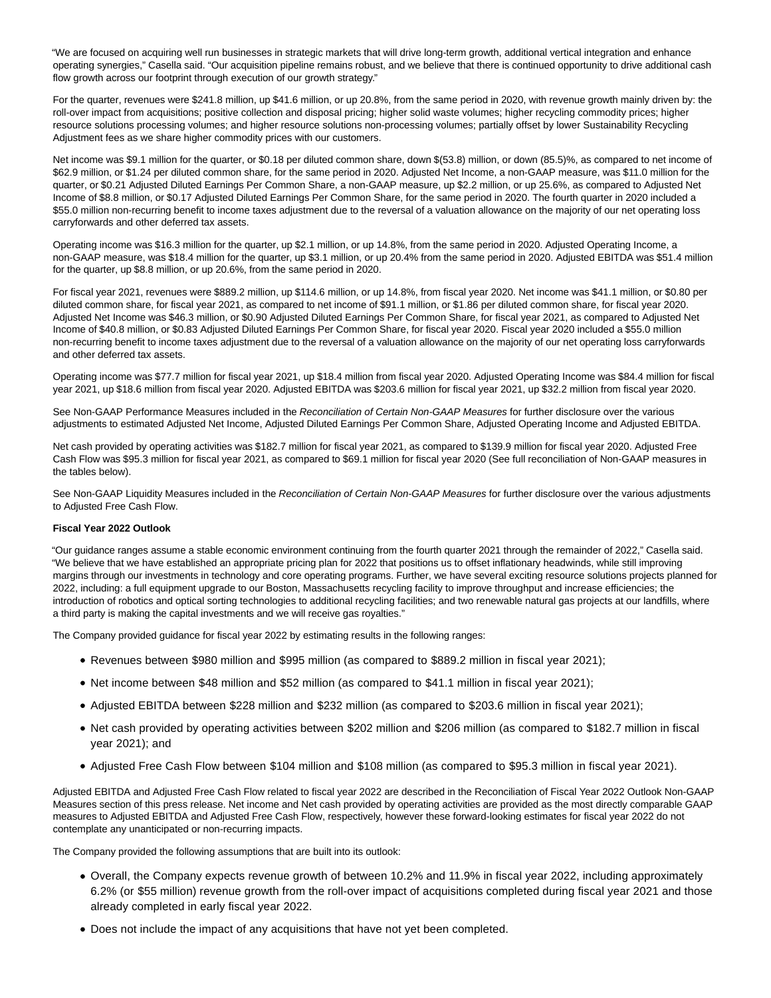"We are focused on acquiring well run businesses in strategic markets that will drive long-term growth, additional vertical integration and enhance operating synergies," Casella said. "Our acquisition pipeline remains robust, and we believe that there is continued opportunity to drive additional cash flow growth across our footprint through execution of our growth strategy."

For the quarter, revenues were \$241.8 million, up \$41.6 million, or up 20.8%, from the same period in 2020, with revenue growth mainly driven by: the roll-over impact from acquisitions; positive collection and disposal pricing; higher solid waste volumes; higher recycling commodity prices; higher resource solutions processing volumes; and higher resource solutions non-processing volumes; partially offset by lower Sustainability Recycling Adjustment fees as we share higher commodity prices with our customers.

Net income was \$9.1 million for the quarter, or \$0.18 per diluted common share, down \$(53.8) million, or down (85.5)%, as compared to net income of \$62.9 million, or \$1.24 per diluted common share, for the same period in 2020. Adjusted Net Income, a non-GAAP measure, was \$11.0 million for the quarter, or \$0.21 Adjusted Diluted Earnings Per Common Share, a non-GAAP measure, up \$2.2 million, or up 25.6%, as compared to Adjusted Net Income of \$8.8 million, or \$0.17 Adjusted Diluted Earnings Per Common Share, for the same period in 2020. The fourth quarter in 2020 included a \$55.0 million non-recurring benefit to income taxes adjustment due to the reversal of a valuation allowance on the majority of our net operating loss carryforwards and other deferred tax assets.

Operating income was \$16.3 million for the quarter, up \$2.1 million, or up 14.8%, from the same period in 2020. Adjusted Operating Income, a non-GAAP measure, was \$18.4 million for the quarter, up \$3.1 million, or up 20.4% from the same period in 2020. Adjusted EBITDA was \$51.4 million for the quarter, up \$8.8 million, or up 20.6%, from the same period in 2020.

For fiscal year 2021, revenues were \$889.2 million, up \$114.6 million, or up 14.8%, from fiscal year 2020. Net income was \$41.1 million, or \$0.80 per diluted common share, for fiscal year 2021, as compared to net income of \$91.1 million, or \$1.86 per diluted common share, for fiscal year 2020. Adjusted Net Income was \$46.3 million, or \$0.90 Adjusted Diluted Earnings Per Common Share, for fiscal year 2021, as compared to Adjusted Net Income of \$40.8 million, or \$0.83 Adjusted Diluted Earnings Per Common Share, for fiscal year 2020. Fiscal year 2020 included a \$55.0 million non-recurring benefit to income taxes adjustment due to the reversal of a valuation allowance on the majority of our net operating loss carryforwards and other deferred tax assets.

Operating income was \$77.7 million for fiscal year 2021, up \$18.4 million from fiscal year 2020. Adjusted Operating Income was \$84.4 million for fiscal year 2021, up \$18.6 million from fiscal year 2020. Adjusted EBITDA was \$203.6 million for fiscal year 2021, up \$32.2 million from fiscal year 2020.

See Non-GAAP Performance Measures included in the Reconciliation of Certain Non-GAAP Measures for further disclosure over the various adjustments to estimated Adjusted Net Income, Adjusted Diluted Earnings Per Common Share, Adjusted Operating Income and Adjusted EBITDA.

Net cash provided by operating activities was \$182.7 million for fiscal year 2021, as compared to \$139.9 million for fiscal year 2020. Adjusted Free Cash Flow was \$95.3 million for fiscal year 2021, as compared to \$69.1 million for fiscal year 2020 (See full reconciliation of Non-GAAP measures in the tables below).

See Non-GAAP Liquidity Measures included in the Reconciliation of Certain Non-GAAP Measures for further disclosure over the various adjustments to Adjusted Free Cash Flow.

## **Fiscal Year 2022 Outlook**

"Our guidance ranges assume a stable economic environment continuing from the fourth quarter 2021 through the remainder of 2022," Casella said. "We believe that we have established an appropriate pricing plan for 2022 that positions us to offset inflationary headwinds, while still improving margins through our investments in technology and core operating programs. Further, we have several exciting resource solutions projects planned for 2022, including: a full equipment upgrade to our Boston, Massachusetts recycling facility to improve throughput and increase efficiencies; the introduction of robotics and optical sorting technologies to additional recycling facilities; and two renewable natural gas projects at our landfills, where a third party is making the capital investments and we will receive gas royalties."

The Company provided guidance for fiscal year 2022 by estimating results in the following ranges:

- Revenues between \$980 million and \$995 million (as compared to \$889.2 million in fiscal year 2021);
- Net income between \$48 million and \$52 million (as compared to \$41.1 million in fiscal year 2021);
- Adjusted EBITDA between \$228 million and \$232 million (as compared to \$203.6 million in fiscal year 2021);
- Net cash provided by operating activities between \$202 million and \$206 million (as compared to \$182.7 million in fiscal year 2021); and
- Adjusted Free Cash Flow between \$104 million and \$108 million (as compared to \$95.3 million in fiscal year 2021).

Adjusted EBITDA and Adjusted Free Cash Flow related to fiscal year 2022 are described in the Reconciliation of Fiscal Year 2022 Outlook Non-GAAP Measures section of this press release. Net income and Net cash provided by operating activities are provided as the most directly comparable GAAP measures to Adjusted EBITDA and Adjusted Free Cash Flow, respectively, however these forward-looking estimates for fiscal year 2022 do not contemplate any unanticipated or non-recurring impacts.

The Company provided the following assumptions that are built into its outlook:

- Overall, the Company expects revenue growth of between 10.2% and 11.9% in fiscal year 2022, including approximately 6.2% (or \$55 million) revenue growth from the roll-over impact of acquisitions completed during fiscal year 2021 and those already completed in early fiscal year 2022.
- Does not include the impact of any acquisitions that have not yet been completed.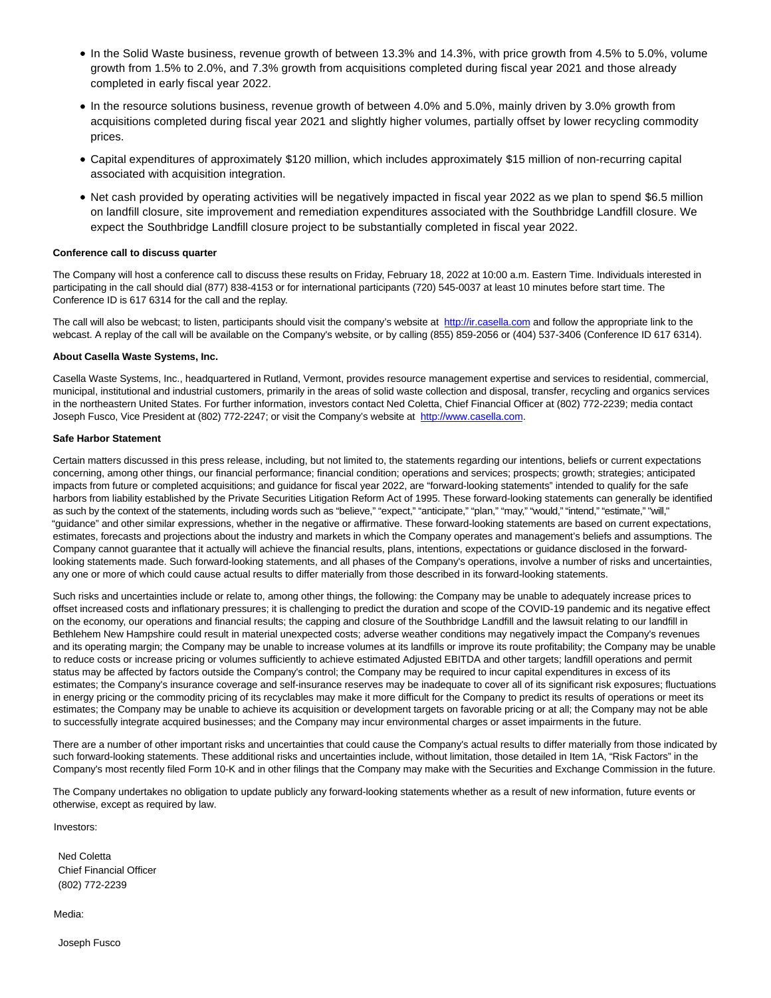- In the Solid Waste business, revenue growth of between 13.3% and 14.3%, with price growth from 4.5% to 5.0%, volume growth from 1.5% to 2.0%, and 7.3% growth from acquisitions completed during fiscal year 2021 and those already completed in early fiscal year 2022.
- In the resource solutions business, revenue growth of between 4.0% and 5.0%, mainly driven by 3.0% growth from acquisitions completed during fiscal year 2021 and slightly higher volumes, partially offset by lower recycling commodity prices.
- Capital expenditures of approximately \$120 million, which includes approximately \$15 million of non-recurring capital associated with acquisition integration.
- Net cash provided by operating activities will be negatively impacted in fiscal year 2022 as we plan to spend \$6.5 million on landfill closure, site improvement and remediation expenditures associated with the Southbridge Landfill closure. We expect the Southbridge Landfill closure project to be substantially completed in fiscal year 2022.

## **Conference call to discuss quarter**

The Company will host a conference call to discuss these results on Friday, February 18, 2022 at 10:00 a.m. Eastern Time. Individuals interested in participating in the call should dial (877) 838-4153 or for international participants (720) 545-0037 at least 10 minutes before start time. The Conference ID is 617 6314 for the call and the replay.

The call will also be webcast; to listen, participants should visit the company's website at [http://ir.casella.com a](http://ir.casella.com/)nd follow the appropriate link to the webcast. A replay of the call will be available on the Company's website, or by calling (855) 859-2056 or (404) 537-3406 (Conference ID 617 6314).

#### **About Casella Waste Systems, Inc.**

Casella Waste Systems, Inc., headquartered in Rutland, Vermont, provides resource management expertise and services to residential, commercial, municipal, institutional and industrial customers, primarily in the areas of solid waste collection and disposal, transfer, recycling and organics services in the northeastern United States. For further information, investors contact Ned Coletta, Chief Financial Officer at (802) 772-2239; media contact Joseph Fusco, Vice President at (802) 772-2247; or visit the Company's website at [http://www.casella.com.](http://www.casella.com/)

#### **Safe Harbor Statement**

Certain matters discussed in this press release, including, but not limited to, the statements regarding our intentions, beliefs or current expectations concerning, among other things, our financial performance; financial condition; operations and services; prospects; growth; strategies; anticipated impacts from future or completed acquisitions; and guidance for fiscal year 2022, are "forward-looking statements" intended to qualify for the safe harbors from liability established by the Private Securities Litigation Reform Act of 1995. These forward-looking statements can generally be identified as such by the context of the statements, including words such as "believe," "expect," "anticipate," "plan," "may," "would," "intend," "estimate," "will," "guidance" and other similar expressions, whether in the negative or affirmative. These forward-looking statements are based on current expectations, estimates, forecasts and projections about the industry and markets in which the Company operates and management's beliefs and assumptions. The Company cannot guarantee that it actually will achieve the financial results, plans, intentions, expectations or guidance disclosed in the forwardlooking statements made. Such forward-looking statements, and all phases of the Company's operations, involve a number of risks and uncertainties, any one or more of which could cause actual results to differ materially from those described in its forward-looking statements.

Such risks and uncertainties include or relate to, among other things, the following: the Company may be unable to adequately increase prices to offset increased costs and inflationary pressures; it is challenging to predict the duration and scope of the COVID-19 pandemic and its negative effect on the economy, our operations and financial results; the capping and closure of the Southbridge Landfill and the lawsuit relating to our landfill in Bethlehem New Hampshire could result in material unexpected costs; adverse weather conditions may negatively impact the Company's revenues and its operating margin; the Company may be unable to increase volumes at its landfills or improve its route profitability; the Company may be unable to reduce costs or increase pricing or volumes sufficiently to achieve estimated Adjusted EBITDA and other targets; landfill operations and permit status may be affected by factors outside the Company's control; the Company may be required to incur capital expenditures in excess of its estimates; the Company's insurance coverage and self-insurance reserves may be inadequate to cover all of its significant risk exposures; fluctuations in energy pricing or the commodity pricing of its recyclables may make it more difficult for the Company to predict its results of operations or meet its estimates; the Company may be unable to achieve its acquisition or development targets on favorable pricing or at all; the Company may not be able to successfully integrate acquired businesses; and the Company may incur environmental charges or asset impairments in the future.

There are a number of other important risks and uncertainties that could cause the Company's actual results to differ materially from those indicated by such forward-looking statements. These additional risks and uncertainties include, without limitation, those detailed in Item 1A, "Risk Factors" in the Company's most recently filed Form 10-K and in other filings that the Company may make with the Securities and Exchange Commission in the future.

The Company undertakes no obligation to update publicly any forward-looking statements whether as a result of new information, future events or otherwise, except as required by law.

Investors:

Ned Coletta Chief Financial Officer (802) 772-2239

Media:

Joseph Fusco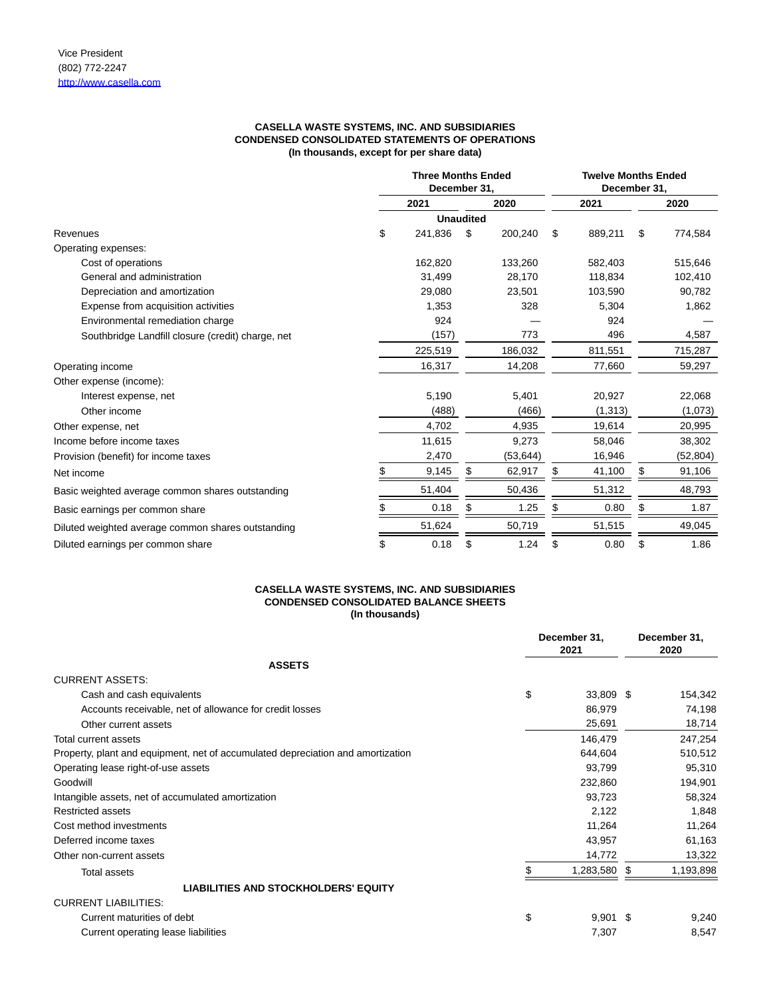# **CASELLA WASTE SYSTEMS, INC. AND SUBSIDIARIES CONDENSED CONSOLIDATED STATEMENTS OF OPERATIONS (In thousands, except for per share data)**

|                                                    | <b>Three Months Ended</b><br>December 31. |                  |           | <b>Twelve Months Ended</b><br>December 31, |         |    |          |
|----------------------------------------------------|-------------------------------------------|------------------|-----------|--------------------------------------------|---------|----|----------|
|                                                    | 2021                                      |                  | 2020      |                                            | 2021    |    | 2020     |
|                                                    |                                           | <b>Unaudited</b> |           |                                            |         |    |          |
| Revenues                                           | \$<br>241,836                             | \$               | 200,240   | \$                                         | 889,211 | \$ | 774,584  |
| Operating expenses:                                |                                           |                  |           |                                            |         |    |          |
| Cost of operations                                 | 162,820                                   |                  | 133,260   |                                            | 582.403 |    | 515,646  |
| General and administration                         | 31,499                                    |                  | 28,170    |                                            | 118,834 |    | 102,410  |
| Depreciation and amortization                      | 29,080                                    |                  | 23,501    |                                            | 103,590 |    | 90,782   |
| Expense from acquisition activities                | 1,353                                     |                  | 328       |                                            | 5,304   |    | 1,862    |
| Environmental remediation charge                   | 924                                       |                  |           |                                            | 924     |    |          |
| Southbridge Landfill closure (credit) charge, net  | (157)                                     |                  | 773       |                                            | 496     |    | 4,587    |
|                                                    | 225,519                                   |                  | 186,032   |                                            | 811,551 |    | 715,287  |
| Operating income                                   | 16,317                                    |                  | 14,208    |                                            | 77,660  |    | 59,297   |
| Other expense (income):                            |                                           |                  |           |                                            |         |    |          |
| Interest expense, net                              | 5,190                                     |                  | 5,401     |                                            | 20,927  |    | 22,068   |
| Other income                                       | (488)                                     |                  | (466)     |                                            | (1,313) |    | (1,073)  |
| Other expense, net                                 | 4,702                                     |                  | 4,935     |                                            | 19,614  |    | 20,995   |
| Income before income taxes                         | 11,615                                    |                  | 9,273     |                                            | 58,046  |    | 38,302   |
| Provision (benefit) for income taxes               | 2,470                                     |                  | (53, 644) |                                            | 16,946  |    | (52,804) |
| Net income                                         | 9,145                                     |                  | 62,917    | \$                                         | 41,100  | \$ | 91,106   |
| Basic weighted average common shares outstanding   | 51,404                                    |                  | 50,436    |                                            | 51,312  |    | 48,793   |
| Basic earnings per common share                    | 0.18                                      |                  | 1.25      | S                                          | 0.80    | S  | 1.87     |
| Diluted weighted average common shares outstanding | 51,624                                    |                  | 50,719    |                                            | 51,515  |    | 49,045   |
| Diluted earnings per common share                  | \$<br>0.18                                | \$               | 1.24      | \$                                         | 0.80    | \$ | 1.86     |

## **CASELLA WASTE SYSTEMS, INC. AND SUBSIDIARIES CONDENSED CONSOLIDATED BALANCE SHEETS (In thousands)**

|                                                                                 | December 31,<br>2021 | December 31,<br>2020 |
|---------------------------------------------------------------------------------|----------------------|----------------------|
| <b>ASSETS</b>                                                                   |                      |                      |
| <b>CURRENT ASSETS:</b>                                                          |                      |                      |
| Cash and cash equivalents                                                       | \$<br>33,809 \$      | 154,342              |
| Accounts receivable, net of allowance for credit losses                         | 86,979               | 74,198               |
| Other current assets                                                            | 25,691               | 18,714               |
| Total current assets                                                            | 146,479              | 247,254              |
| Property, plant and equipment, net of accumulated depreciation and amortization | 644,604              | 510,512              |
| Operating lease right-of-use assets                                             | 93,799               | 95,310               |
| Goodwill                                                                        | 232,860              | 194,901              |
| Intangible assets, net of accumulated amortization                              | 93,723               | 58,324               |
| <b>Restricted assets</b>                                                        | 2,122                | 1,848                |
| Cost method investments                                                         | 11,264               | 11,264               |
| Deferred income taxes                                                           | 43,957               | 61,163               |
| Other non-current assets                                                        | 14,772               | 13,322               |
| <b>Total assets</b>                                                             | 1,283,580 \$         | 1,193,898            |
| <b>LIABILITIES AND STOCKHOLDERS' EQUITY</b>                                     |                      |                      |
| <b>CURRENT LIABILITIES:</b>                                                     |                      |                      |
| Current maturities of debt                                                      | \$<br>$9,901$ \$     | 9,240                |
| Current operating lease liabilities                                             | 7,307                | 8,547                |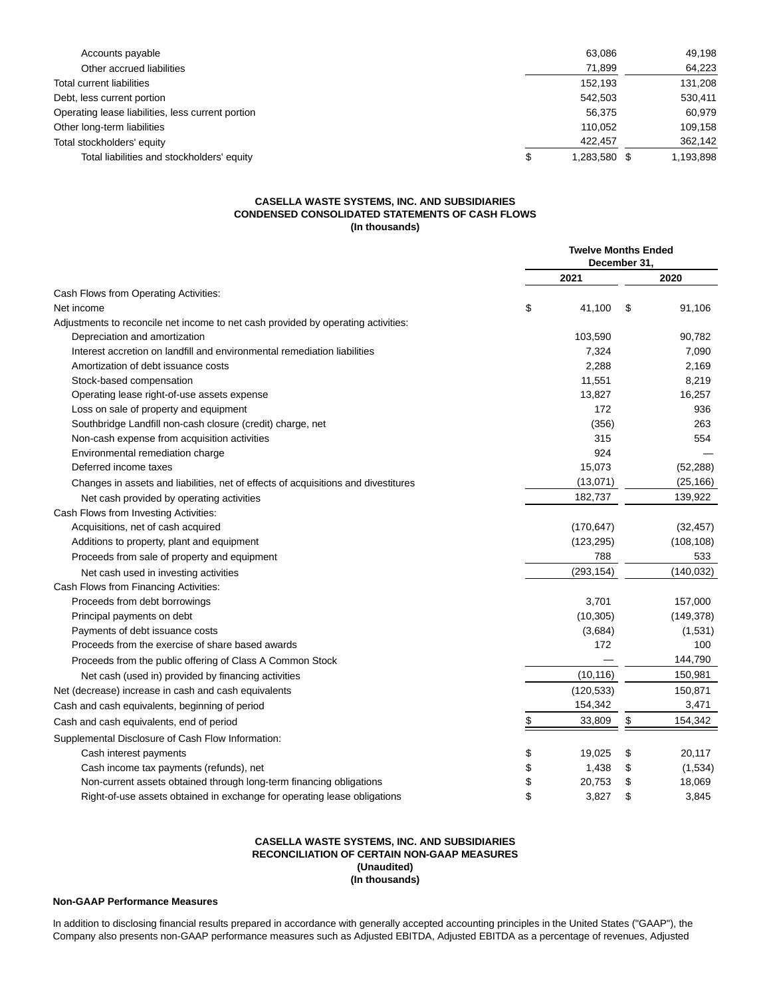| Accounts payable                                  | 63.086             | 49,198    |
|---------------------------------------------------|--------------------|-----------|
| Other accrued liabilities                         | 71.899             | 64,223    |
| <b>Total current liabilities</b>                  | 152.193            | 131,208   |
| Debt, less current portion                        | 542.503            | 530.411   |
| Operating lease liabilities, less current portion | 56.375             | 60.979    |
| Other long-term liabilities                       | 110.052            | 109,158   |
| Total stockholders' equity                        | 422.457            | 362,142   |
| Total liabilities and stockholders' equity        | \$<br>1,283,580 \$ | 1,193,898 |

# **CASELLA WASTE SYSTEMS, INC. AND SUBSIDIARIES CONDENSED CONSOLIDATED STATEMENTS OF CASH FLOWS (In thousands)**

|                                                                                    | <b>Twelve Months Ended</b><br>December 31. |            |    |            |
|------------------------------------------------------------------------------------|--------------------------------------------|------------|----|------------|
|                                                                                    |                                            | 2021       |    | 2020       |
| Cash Flows from Operating Activities:                                              |                                            |            |    |            |
| Net income                                                                         | \$                                         | 41,100     | \$ | 91,106     |
| Adjustments to reconcile net income to net cash provided by operating activities:  |                                            |            |    |            |
| Depreciation and amortization                                                      |                                            | 103,590    |    | 90,782     |
| Interest accretion on landfill and environmental remediation liabilities           |                                            | 7,324      |    | 7,090      |
| Amortization of debt issuance costs                                                |                                            | 2,288      |    | 2,169      |
| Stock-based compensation                                                           |                                            | 11,551     |    | 8,219      |
| Operating lease right-of-use assets expense                                        |                                            | 13,827     |    | 16,257     |
| Loss on sale of property and equipment                                             |                                            | 172        |    | 936        |
| Southbridge Landfill non-cash closure (credit) charge, net                         |                                            | (356)      |    | 263        |
| Non-cash expense from acquisition activities                                       |                                            | 315        |    | 554        |
| Environmental remediation charge                                                   |                                            | 924        |    |            |
| Deferred income taxes                                                              |                                            | 15,073     |    | (52, 288)  |
| Changes in assets and liabilities, net of effects of acquisitions and divestitures |                                            | (13,071)   |    | (25, 166)  |
| Net cash provided by operating activities                                          |                                            | 182,737    |    | 139,922    |
| Cash Flows from Investing Activities:                                              |                                            |            |    |            |
| Acquisitions, net of cash acquired                                                 |                                            | (170, 647) |    | (32, 457)  |
| Additions to property, plant and equipment                                         |                                            | (123, 295) |    | (108, 108) |
| Proceeds from sale of property and equipment                                       |                                            | 788        |    | 533        |
| Net cash used in investing activities                                              |                                            | (293, 154) |    | (140.032)  |
| Cash Flows from Financing Activities:                                              |                                            |            |    |            |
| Proceeds from debt borrowings                                                      |                                            | 3,701      |    | 157,000    |
| Principal payments on debt                                                         |                                            | (10, 305)  |    | (149, 378) |
| Payments of debt issuance costs                                                    |                                            | (3,684)    |    | (1,531)    |
| Proceeds from the exercise of share based awards                                   |                                            | 172        |    | 100        |
| Proceeds from the public offering of Class A Common Stock                          |                                            |            |    | 144,790    |
| Net cash (used in) provided by financing activities                                |                                            | (10, 116)  |    | 150,981    |
| Net (decrease) increase in cash and cash equivalents                               |                                            | (120, 533) |    | 150,871    |
| Cash and cash equivalents, beginning of period                                     |                                            | 154,342    |    | 3,471      |
| Cash and cash equivalents, end of period                                           | \$                                         | 33,809     | \$ | 154,342    |
| Supplemental Disclosure of Cash Flow Information:                                  |                                            |            |    |            |
| Cash interest payments                                                             | \$                                         | 19,025     | \$ | 20,117     |
| Cash income tax payments (refunds), net                                            | \$                                         | 1,438      |    | (1,534)    |
| Non-current assets obtained through long-term financing obligations                | \$                                         | 20,753     | \$ | 18,069     |
| Right-of-use assets obtained in exchange for operating lease obligations           | \$                                         | 3,827      | \$ | 3,845      |

## **CASELLA WASTE SYSTEMS, INC. AND SUBSIDIARIES RECONCILIATION OF CERTAIN NON-GAAP MEASURES (Unaudited) (In thousands)**

# **Non-GAAP Performance Measures**

In addition to disclosing financial results prepared in accordance with generally accepted accounting principles in the United States ("GAAP"), the Company also presents non-GAAP performance measures such as Adjusted EBITDA, Adjusted EBITDA as a percentage of revenues, Adjusted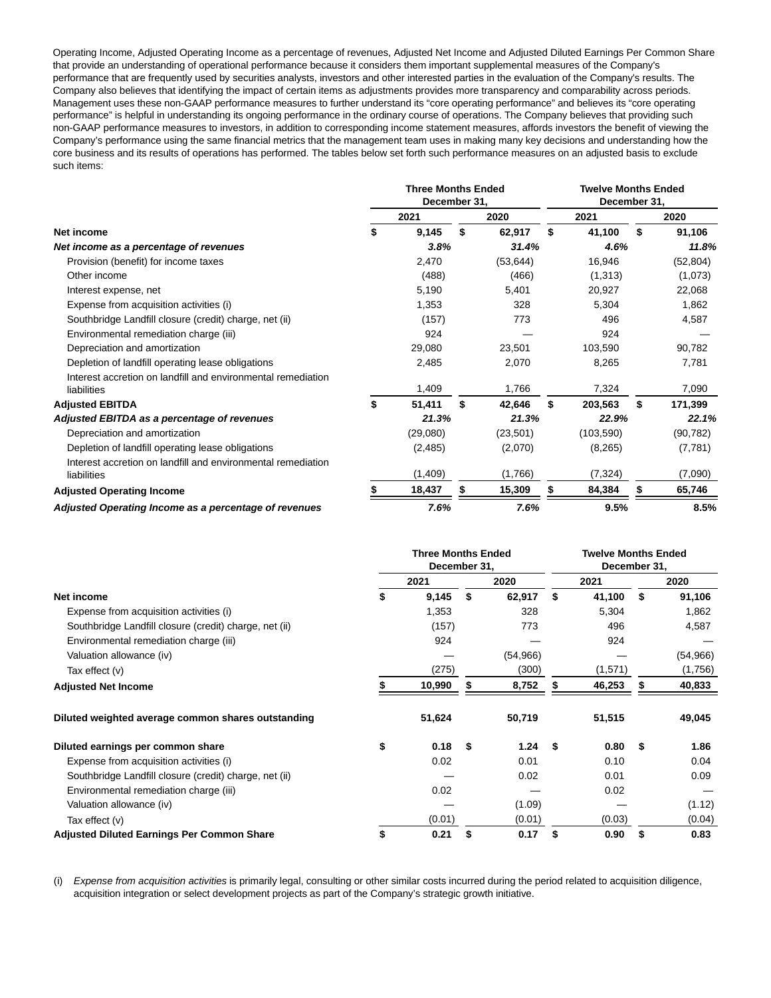Operating Income, Adjusted Operating Income as a percentage of revenues, Adjusted Net Income and Adjusted Diluted Earnings Per Common Share that provide an understanding of operational performance because it considers them important supplemental measures of the Company's performance that are frequently used by securities analysts, investors and other interested parties in the evaluation of the Company's results. The Company also believes that identifying the impact of certain items as adjustments provides more transparency and comparability across periods. Management uses these non-GAAP performance measures to further understand its "core operating performance" and believes its "core operating performance" is helpful in understanding its ongoing performance in the ordinary course of operations. The Company believes that providing such non-GAAP performance measures to investors, in addition to corresponding income statement measures, affords investors the benefit of viewing the Company's performance using the same financial metrics that the management team uses in making many key decisions and understanding how the core business and its results of operations has performed. The tables below set forth such performance measures on an adjusted basis to exclude such items:

|                                                                             |    | <b>Three Months Ended</b><br>December 31, |              | <b>Twelve Months Ended</b><br>December 31, |               |
|-----------------------------------------------------------------------------|----|-------------------------------------------|--------------|--------------------------------------------|---------------|
|                                                                             |    | 2021                                      | 2020         | 2021                                       | 2020          |
| Net income                                                                  | S  | 9,145                                     | \$<br>62,917 | \$<br>41,100                               | \$<br>91,106  |
| Net income as a percentage of revenues                                      |    | 3.8%                                      | 31.4%        | 4.6%                                       | 11.8%         |
| Provision (benefit) for income taxes                                        |    | 2,470                                     | (53, 644)    | 16,946                                     | (52, 804)     |
| Other income                                                                |    | (488)                                     | (466)        | (1,313)                                    | (1,073)       |
| Interest expense, net                                                       |    | 5,190                                     | 5,401        | 20,927                                     | 22,068        |
| Expense from acquisition activities (i)                                     |    | 1,353                                     | 328          | 5,304                                      | 1,862         |
| Southbridge Landfill closure (credit) charge, net (ii)                      |    | (157)                                     | 773          | 496                                        | 4,587         |
| Environmental remediation charge (iii)                                      |    | 924                                       |              | 924                                        |               |
| Depreciation and amortization                                               |    | 29,080                                    | 23,501       | 103,590                                    | 90,782        |
| Depletion of landfill operating lease obligations                           |    | 2.485                                     | 2,070        | 8,265                                      | 7,781         |
| Interest accretion on landfill and environmental remediation<br>liabilities |    | 1,409                                     | 1,766        | 7,324                                      | 7,090         |
| <b>Adjusted EBITDA</b>                                                      | \$ | 51,411                                    | \$<br>42,646 | \$<br>203,563                              | \$<br>171,399 |
| Adjusted EBITDA as a percentage of revenues                                 |    | 21.3%                                     | 21.3%        | 22.9%                                      | 22.1%         |
| Depreciation and amortization                                               |    | (29,080)                                  | (23, 501)    | (103, 590)                                 | (90, 782)     |
| Depletion of landfill operating lease obligations                           |    | (2, 485)                                  | (2,070)      | (8,265)                                    | (7, 781)      |
| Interest accretion on landfill and environmental remediation<br>liabilities |    | (1,409)                                   | (1,766)      | (7, 324)                                   | (7,090)       |
| <b>Adjusted Operating Income</b>                                            |    | 18,437                                    | 15,309       | 84,384                                     | 65,746        |
| Adjusted Operating Income as a percentage of revenues                       |    | 7.6%                                      | 7.6%         | 9.5%                                       | 8.5%          |

|                                                        | <b>Three Months Ended</b><br>December 31, |        |    |           |    | <b>Twelve Months Ended</b><br>December 31, |    |           |
|--------------------------------------------------------|-------------------------------------------|--------|----|-----------|----|--------------------------------------------|----|-----------|
|                                                        |                                           | 2021   |    | 2020      |    | 2021                                       |    | 2020      |
| Net income                                             |                                           | 9,145  | \$ | 62,917    | \$ | 41,100                                     | \$ | 91,106    |
| Expense from acquisition activities (i)                |                                           | 1,353  |    | 328       |    | 5,304                                      |    | 1,862     |
| Southbridge Landfill closure (credit) charge, net (ii) |                                           | (157)  |    | 773       |    | 496                                        |    | 4,587     |
| Environmental remediation charge (iii)                 |                                           | 924    |    |           |    | 924                                        |    |           |
| Valuation allowance (iv)                               |                                           |        |    | (54, 966) |    |                                            |    | (54, 966) |
| Tax effect (v)                                         |                                           | (275)  |    | (300)     |    | (1,571)                                    |    | (1,756)   |
| <b>Adjusted Net Income</b>                             |                                           | 10,990 |    | 8,752     |    | 46,253                                     |    | 40,833    |
| Diluted weighted average common shares outstanding     |                                           | 51,624 |    | 50,719    |    | 51,515                                     |    | 49,045    |
| Diluted earnings per common share                      | \$                                        | 0.18   | S  | 1.24      | S  | 0.80                                       | S  | 1.86      |
| Expense from acquisition activities (i)                |                                           | 0.02   |    | 0.01      |    | 0.10                                       |    | 0.04      |
| Southbridge Landfill closure (credit) charge, net (ii) |                                           |        |    | 0.02      |    | 0.01                                       |    | 0.09      |
| Environmental remediation charge (iii)                 |                                           | 0.02   |    |           |    | 0.02                                       |    |           |
| Valuation allowance (iv)                               |                                           |        |    | (1.09)    |    |                                            |    | (1.12)    |
| Tax effect (v)                                         |                                           | (0.01) |    | (0.01)    |    | (0.03)                                     |    | (0.04)    |
| <b>Adjusted Diluted Earnings Per Common Share</b>      |                                           | 0.21   |    | 0.17      | S  | 0.90                                       | \$ | 0.83      |

(i) Expense from acquisition activities is primarily legal, consulting or other similar costs incurred during the period related to acquisition diligence, acquisition integration or select development projects as part of the Company's strategic growth initiative.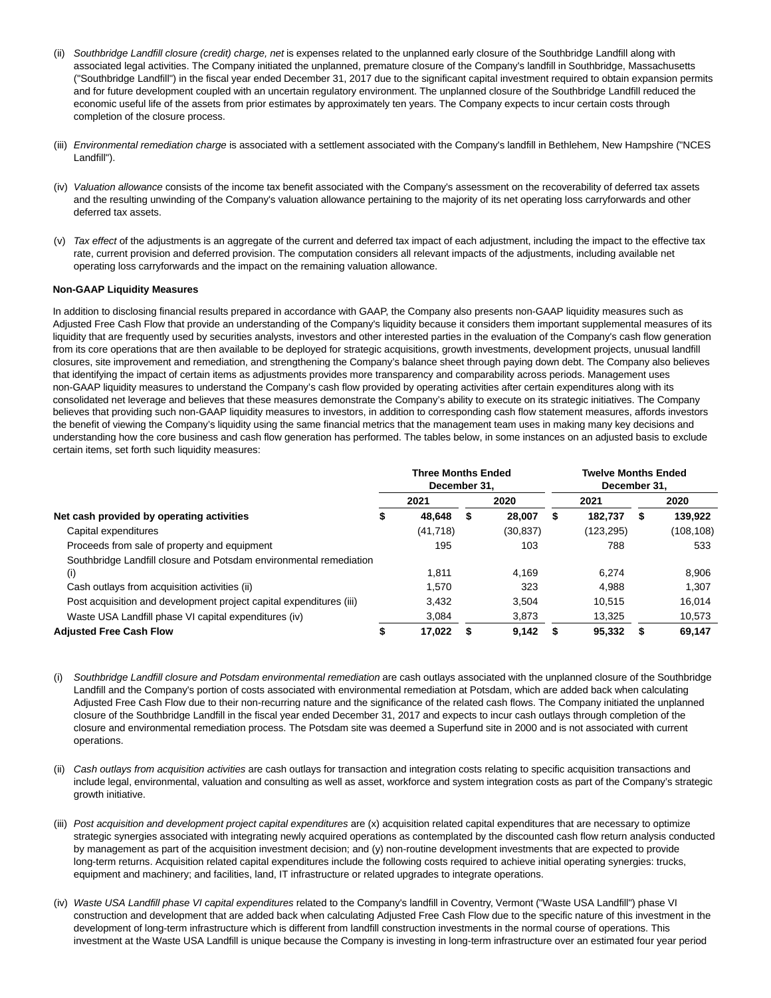- (ii) Southbridge Landfill closure (credit) charge, net is expenses related to the unplanned early closure of the Southbridge Landfill along with associated legal activities. The Company initiated the unplanned, premature closure of the Company's landfill in Southbridge, Massachusetts ("Southbridge Landfill") in the fiscal year ended December 31, 2017 due to the significant capital investment required to obtain expansion permits and for future development coupled with an uncertain regulatory environment. The unplanned closure of the Southbridge Landfill reduced the economic useful life of the assets from prior estimates by approximately ten years. The Company expects to incur certain costs through completion of the closure process.
- (iii) Environmental remediation charge is associated with a settlement associated with the Company's landfill in Bethlehem, New Hampshire ("NCES Landfill").
- (iv) Valuation allowance consists of the income tax benefit associated with the Company's assessment on the recoverability of deferred tax assets and the resulting unwinding of the Company's valuation allowance pertaining to the majority of its net operating loss carryforwards and other deferred tax assets.
- (v) Tax effect of the adjustments is an aggregate of the current and deferred tax impact of each adjustment, including the impact to the effective tax rate, current provision and deferred provision. The computation considers all relevant impacts of the adjustments, including available net operating loss carryforwards and the impact on the remaining valuation allowance.

## **Non-GAAP Liquidity Measures**

In addition to disclosing financial results prepared in accordance with GAAP, the Company also presents non-GAAP liquidity measures such as Adjusted Free Cash Flow that provide an understanding of the Company's liquidity because it considers them important supplemental measures of its liquidity that are frequently used by securities analysts, investors and other interested parties in the evaluation of the Company's cash flow generation from its core operations that are then available to be deployed for strategic acquisitions, growth investments, development projects, unusual landfill closures, site improvement and remediation, and strengthening the Company's balance sheet through paying down debt. The Company also believes that identifying the impact of certain items as adjustments provides more transparency and comparability across periods. Management uses non-GAAP liquidity measures to understand the Company's cash flow provided by operating activities after certain expenditures along with its consolidated net leverage and believes that these measures demonstrate the Company's ability to execute on its strategic initiatives. The Company believes that providing such non-GAAP liquidity measures to investors, in addition to corresponding cash flow statement measures, affords investors the benefit of viewing the Company's liquidity using the same financial metrics that the management team uses in making many key decisions and understanding how the core business and cash flow generation has performed. The tables below, in some instances on an adjusted basis to exclude certain items, set forth such liquidity measures:

|                                                                     | <b>Three Months Ended</b><br>December 31. |   |           |   |            | <b>Twelve Months Ended</b><br>December 31. |           |
|---------------------------------------------------------------------|-------------------------------------------|---|-----------|---|------------|--------------------------------------------|-----------|
|                                                                     | 2021                                      |   | 2020      |   | 2021       |                                            | 2020      |
| Net cash provided by operating activities                           | 48.648                                    | S | 28.007    | S | 182.737    | S                                          | 139,922   |
| Capital expenditures                                                | (41, 718)                                 |   | (30, 837) |   | (123, 295) |                                            | (108,108) |
| Proceeds from sale of property and equipment                        | 195                                       |   | 103       |   | 788        |                                            | 533       |
| Southbridge Landfill closure and Potsdam environmental remediation  |                                           |   |           |   |            |                                            |           |
| (i)                                                                 | 1.811                                     |   | 4.169     |   | 6.274      |                                            | 8.906     |
| Cash outlays from acquisition activities (ii)                       | 1.570                                     |   | 323       |   | 4.988      |                                            | 1.307     |
| Post acquisition and development project capital expenditures (iii) | 3.432                                     |   | 3.504     |   | 10.515     |                                            | 16,014    |
| Waste USA Landfill phase VI capital expenditures (iv)               | 3.084                                     |   | 3,873     |   | 13.325     |                                            | 10.573    |
| <b>Adjusted Free Cash Flow</b>                                      | 17.022                                    |   | 9.142     |   | 95.332     |                                            | 69.147    |

- (i) Southbridge Landfill closure and Potsdam environmental remediation are cash outlays associated with the unplanned closure of the Southbridge Landfill and the Company's portion of costs associated with environmental remediation at Potsdam, which are added back when calculating Adjusted Free Cash Flow due to their non-recurring nature and the significance of the related cash flows. The Company initiated the unplanned closure of the Southbridge Landfill in the fiscal year ended December 31, 2017 and expects to incur cash outlays through completion of the closure and environmental remediation process. The Potsdam site was deemed a Superfund site in 2000 and is not associated with current operations.
- (ii) Cash outlays from acquisition activities are cash outlays for transaction and integration costs relating to specific acquisition transactions and include legal, environmental, valuation and consulting as well as asset, workforce and system integration costs as part of the Company's strategic growth initiative.
- (iii) Post acquisition and development project capital expenditures are (x) acquisition related capital expenditures that are necessary to optimize strategic synergies associated with integrating newly acquired operations as contemplated by the discounted cash flow return analysis conducted by management as part of the acquisition investment decision; and (y) non-routine development investments that are expected to provide long-term returns. Acquisition related capital expenditures include the following costs required to achieve initial operating synergies: trucks, equipment and machinery; and facilities, land, IT infrastructure or related upgrades to integrate operations.
- (iv) Waste USA Landfill phase VI capital expenditures related to the Company's landfill in Coventry, Vermont ("Waste USA Landfill") phase VI construction and development that are added back when calculating Adjusted Free Cash Flow due to the specific nature of this investment in the development of long-term infrastructure which is different from landfill construction investments in the normal course of operations. This investment at the Waste USA Landfill is unique because the Company is investing in long-term infrastructure over an estimated four year period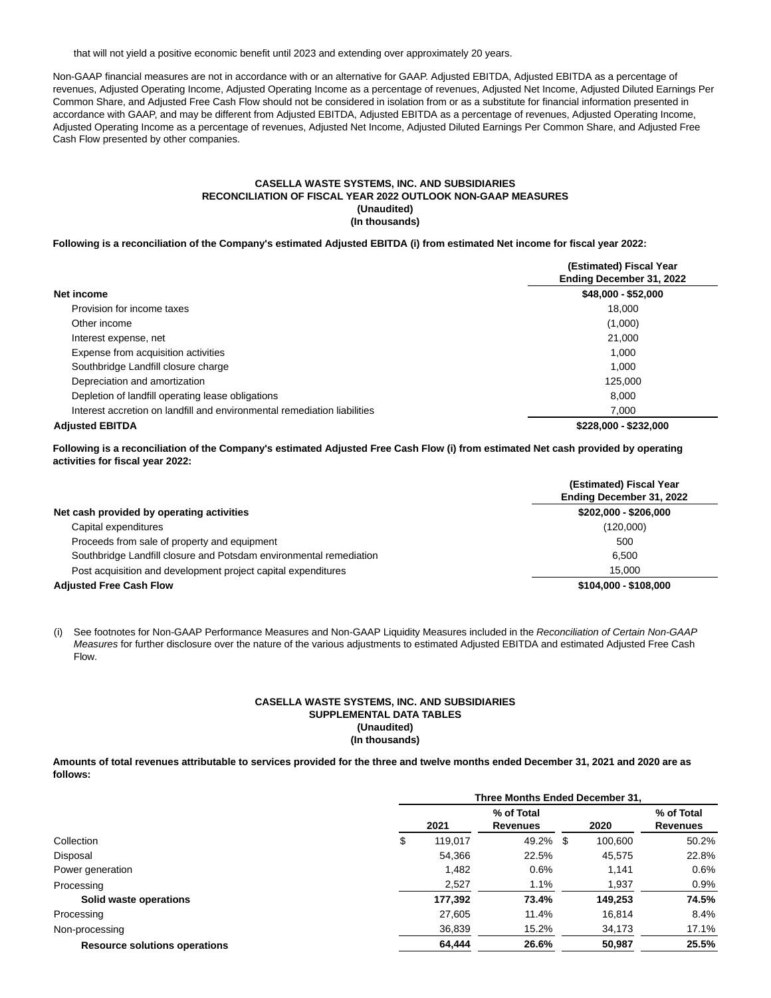that will not yield a positive economic benefit until 2023 and extending over approximately 20 years.

Non-GAAP financial measures are not in accordance with or an alternative for GAAP. Adjusted EBITDA, Adjusted EBITDA as a percentage of revenues, Adjusted Operating Income, Adjusted Operating Income as a percentage of revenues, Adjusted Net Income, Adjusted Diluted Earnings Per Common Share, and Adjusted Free Cash Flow should not be considered in isolation from or as a substitute for financial information presented in accordance with GAAP, and may be different from Adjusted EBITDA, Adjusted EBITDA as a percentage of revenues, Adjusted Operating Income, Adjusted Operating Income as a percentage of revenues, Adjusted Net Income, Adjusted Diluted Earnings Per Common Share, and Adjusted Free Cash Flow presented by other companies.

#### **CASELLA WASTE SYSTEMS, INC. AND SUBSIDIARIES RECONCILIATION OF FISCAL YEAR 2022 OUTLOOK NON-GAAP MEASURES (Unaudited) (In thousands)**

**Following is a reconciliation of the Company's estimated Adjusted EBITDA (i) from estimated Net income for fiscal year 2022:**

|                                                                          | (Estimated) Fiscal Year<br>Ending December 31, 2022 |
|--------------------------------------------------------------------------|-----------------------------------------------------|
| Net income                                                               | $$48,000 - $52,000$                                 |
| Provision for income taxes                                               | 18.000                                              |
| Other income                                                             | (1,000)                                             |
| Interest expense, net                                                    | 21.000                                              |
| Expense from acquisition activities                                      | 1.000                                               |
| Southbridge Landfill closure charge                                      | 1.000                                               |
| Depreciation and amortization                                            | 125,000                                             |
| Depletion of landfill operating lease obligations                        | 8.000                                               |
| Interest accretion on landfill and environmental remediation liabilities | 7.000                                               |
| <b>Adiusted EBITDA</b>                                                   | \$228,000 - \$232,000                               |

**Following is a reconciliation of the Company's estimated Adjusted Free Cash Flow (i) from estimated Net cash provided by operating activities for fiscal year 2022:**

|                                                                    | (Estimated) Fiscal Year<br>Ending December 31, 2022 |
|--------------------------------------------------------------------|-----------------------------------------------------|
| Net cash provided by operating activities                          | \$202,000 - \$206,000                               |
| Capital expenditures                                               | (120,000)                                           |
| Proceeds from sale of property and equipment                       | 500                                                 |
| Southbridge Landfill closure and Potsdam environmental remediation | 6.500                                               |
| Post acquisition and development project capital expenditures      | 15.000                                              |
| <b>Adjusted Free Cash Flow</b>                                     | \$104,000 - \$108,000                               |

(i) See footnotes for Non-GAAP Performance Measures and Non-GAAP Liquidity Measures included in the Reconciliation of Certain Non-GAAP Measures for further disclosure over the nature of the various adjustments to estimated Adjusted EBITDA and estimated Adjusted Free Cash Flow.

## **CASELLA WASTE SYSTEMS, INC. AND SUBSIDIARIES SUPPLEMENTAL DATA TABLES (Unaudited) (In thousands)**

**Amounts of total revenues attributable to services provided for the three and twelve months ended December 31, 2021 and 2020 are as follows:**

| Three Months Ended December 31, |         |                 |  |          |                 |  |  |
|---------------------------------|---------|-----------------|--|----------|-----------------|--|--|
|                                 |         | % of Total      |  |          | % of Total      |  |  |
|                                 | 2021    | <b>Revenues</b> |  | 2020     | <b>Revenues</b> |  |  |
| \$                              | 119,017 |                 |  | 100,600  | 50.2%           |  |  |
|                                 | 54,366  | 22.5%           |  | 45,575   | 22.8%           |  |  |
|                                 | 1,482   | 0.6%            |  | 1.141    | 0.6%            |  |  |
|                                 | 2,527   | 1.1%            |  | 1,937    | 0.9%            |  |  |
|                                 | 177,392 | 73.4%           |  | 149,253  | 74.5%           |  |  |
|                                 | 27,605  | 11.4%           |  | 16.814   | 8.4%            |  |  |
|                                 | 36,839  | 15.2%           |  | 34,173   | 17.1%           |  |  |
|                                 | 64,444  | 26.6%           |  | 50,987   | 25.5%           |  |  |
|                                 |         |                 |  | 49.2% \$ |                 |  |  |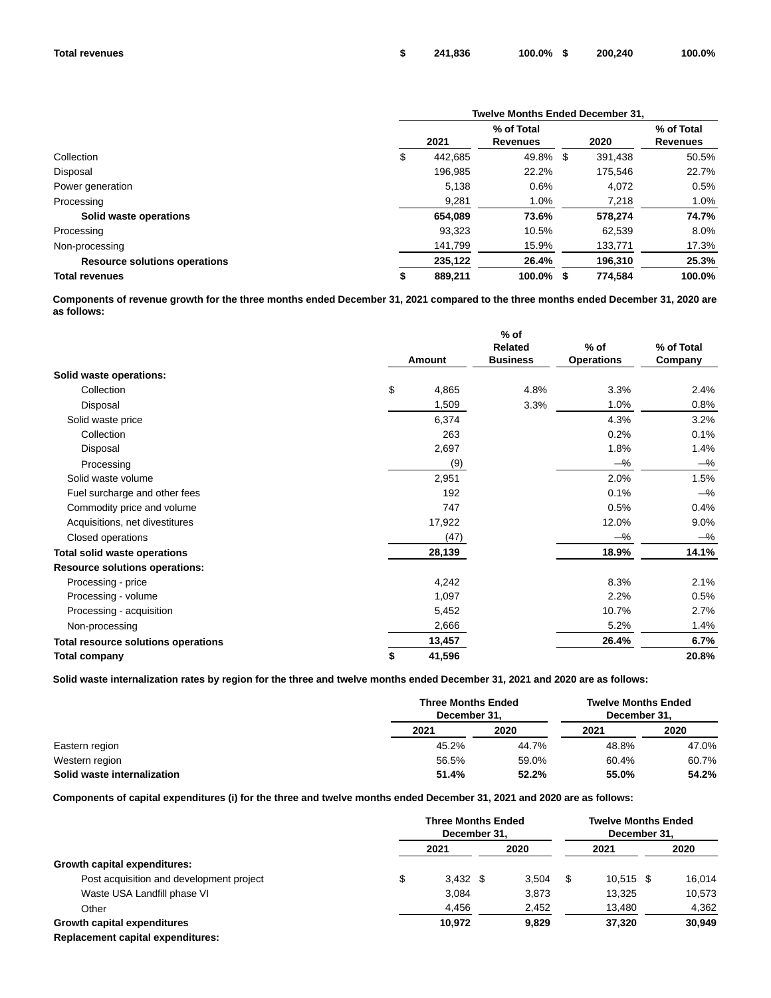|                                      | <b>Twelve Months Ended December 31.</b> |                 |  |         |                 |  |  |  |  |
|--------------------------------------|-----------------------------------------|-----------------|--|---------|-----------------|--|--|--|--|
|                                      |                                         | % of Total      |  |         | % of Total      |  |  |  |  |
|                                      | 2021                                    | <b>Revenues</b> |  | 2020    | <b>Revenues</b> |  |  |  |  |
| Collection                           | \$<br>442.685                           | 49.8% \$        |  | 391.438 | 50.5%           |  |  |  |  |
| Disposal                             | 196.985                                 | 22.2%           |  | 175.546 | 22.7%           |  |  |  |  |
| Power generation                     | 5,138                                   | 0.6%            |  | 4.072   | 0.5%            |  |  |  |  |
| Processing                           | 9,281                                   | 1.0%            |  | 7,218   | 1.0%            |  |  |  |  |
| Solid waste operations               | 654,089                                 | 73.6%           |  | 578.274 | 74.7%           |  |  |  |  |
| Processing                           | 93,323                                  | 10.5%           |  | 62,539  | 8.0%            |  |  |  |  |
| Non-processing                       | 141.799                                 | 15.9%           |  | 133.771 | 17.3%           |  |  |  |  |
| <b>Resource solutions operations</b> | 235,122                                 | 26.4%           |  | 196,310 | 25.3%           |  |  |  |  |
| <b>Total revenues</b>                | 889,211                                 | $100.0\%$ \$    |  | 774.584 | 100.0%          |  |  |  |  |

**Components of revenue growth for the three months ended December 31, 2021 compared to the three months ended December 31, 2020 are as follows:**

|                                       |              | $%$ of         |                   |            |
|---------------------------------------|--------------|----------------|-------------------|------------|
|                                       |              | <b>Related</b> | $%$ of            | % of Total |
|                                       | Amount       |                | <b>Operations</b> | Company    |
| Solid waste operations:               |              |                |                   |            |
| Collection                            | \$<br>4,865  | 4.8%           | 3.3%              | 2.4%       |
| Disposal                              | 1,509        | 3.3%           | 1.0%              | 0.8%       |
| Solid waste price                     | 6,374        |                | 4.3%              | 3.2%       |
| Collection                            | 263          |                | 0.2%              | 0.1%       |
| Disposal                              | 2,697        |                | 1.8%              | 1.4%       |
| Processing                            | (9)          |                | $-\%$             | $-\%$      |
| Solid waste volume                    | 2,951        |                | 2.0%              | 1.5%       |
| Fuel surcharge and other fees         | 192          |                | 0.1%              | $-\%$      |
| Commodity price and volume            | 747          |                | 0.5%              | 0.4%       |
| Acquisitions, net divestitures        | 17,922       |                | 12.0%             | $9.0\%$    |
| Closed operations                     | (47)         |                | $-\%$             | $-\%$      |
| <b>Total solid waste operations</b>   | 28,139       |                | 18.9%             | 14.1%      |
| <b>Resource solutions operations:</b> |              |                |                   |            |
| Processing - price                    | 4,242        |                | 8.3%              | 2.1%       |
| Processing - volume                   | 1,097        |                | 2.2%              | 0.5%       |
| Processing - acquisition              | 5,452        |                | 10.7%             | 2.7%       |
| Non-processing                        | 2,666        |                | 5.2%              | 1.4%       |
| Total resource solutions operations   | 13,457       |                | 26.4%             | 6.7%       |
| Total company                         | \$<br>41,596 |                |                   | 20.8%      |

**Solid waste internalization rates by region for the three and twelve months ended December 31, 2021 and 2020 are as follows:**

|                             | <b>Three Months Ended</b><br>December 31. |       | <b>Twelve Months Ended</b><br>December 31. |       |  |
|-----------------------------|-------------------------------------------|-------|--------------------------------------------|-------|--|
|                             | 2021                                      | 2020  | 2021                                       | 2020  |  |
| Eastern region              | 45.2%                                     | 44.7% | 48.8%                                      | 47.0% |  |
| Western region              | 56.5%                                     | 59.0% | 60.4%                                      | 60.7% |  |
| Solid waste internalization | 51.4%                                     | 52.2% | 55.0%                                      | 54.2% |  |

**Components of capital expenditures (i) for the three and twelve months ended December 31, 2021 and 2020 are as follows:**

|                                          | <b>Three Months Ended</b><br>December 31. |  |       | <b>Twelve Months Ended</b><br>December 31. |             |  |        |
|------------------------------------------|-------------------------------------------|--|-------|--------------------------------------------|-------------|--|--------|
|                                          | 2021                                      |  | 2020  |                                            | 2021        |  | 2020   |
| Growth capital expenditures:             |                                           |  |       |                                            |             |  |        |
| Post acquisition and development project | \$<br>$3.432$ \$                          |  | 3.504 | S                                          | $10.515$ \$ |  | 16,014 |
| Waste USA Landfill phase VI              | 3.084                                     |  | 3.873 |                                            | 13.325      |  | 10,573 |
| Other                                    | 4,456                                     |  | 2,452 |                                            | 13,480      |  | 4,362  |
| Growth capital expenditures              | 10.972                                    |  | 9.829 |                                            | 37.320      |  | 30.949 |
| Replacement capital expenditures:        |                                           |  |       |                                            |             |  |        |